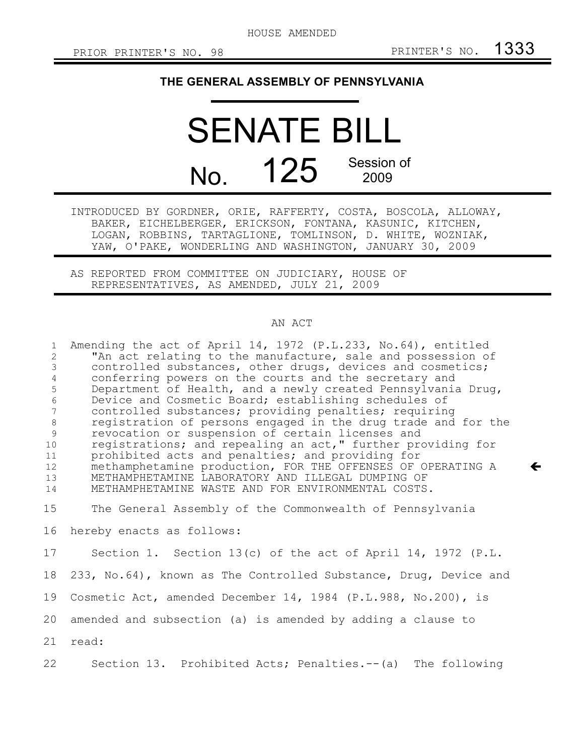$\leftarrow$ 

## **THE GENERAL ASSEMBLY OF PENNSYLVANIA**

## SENATE BILL No. 125 Session of 2009

INTRODUCED BY GORDNER, ORIE, RAFFERTY, COSTA, BOSCOLA, ALLOWAY, BAKER, EICHELBERGER, ERICKSON, FONTANA, KASUNIC, KITCHEN, LOGAN, ROBBINS, TARTAGLIONE, TOMLINSON, D. WHITE, WOZNIAK, YAW, O'PAKE, WONDERLING AND WASHINGTON, JANUARY 30, 2009

AS REPORTED FROM COMMITTEE ON JUDICIARY, HOUSE OF REPRESENTATIVES, AS AMENDED, JULY 21, 2009

## AN ACT

| $\mathbf{1}$      | Amending the act of April 14, 1972 (P.L.233, No.64), entitled    |
|-------------------|------------------------------------------------------------------|
| 2                 | "An act relating to the manufacture, sale and possession of      |
| $\mathfrak{Z}$    | controlled substances, other drugs, devices and cosmetics;       |
| $\overline{4}$    | conferring powers on the courts and the secretary and            |
| 5                 | Department of Health, and a newly created Pennsylvania Drug,     |
| $\epsilon$        | Device and Cosmetic Board; establishing schedules of             |
| $7\overline{ }$   | controlled substances; providing penalties; requiring            |
| 8                 | registration of persons engaged in the drug trade and for the    |
| 9                 | revocation or suspension of certain licenses and                 |
| 10                | registrations; and repealing an act," further providing for      |
| 11                | prohibited acts and penalties; and providing for                 |
| $12 \overline{ }$ | methamphetamine production, FOR THE OFFENSES OF OPERATING A      |
| 13                | METHAMPHETAMINE LABORATORY AND ILLEGAL DUMPING OF                |
| 14                | METHAMPHETAMINE WASTE AND FOR ENVIRONMENTAL COSTS.               |
| 15                | The General Assembly of the Commonwealth of Pennsylvania         |
| 16                | hereby enacts as follows:                                        |
| 17                | Section 1. Section 13(c) of the act of April 14, 1972 (P.L.      |
| 18                | 233, No.64), known as The Controlled Substance, Drug, Device and |
| 19                | Cosmetic Act, amended December 14, 1984 (P.L.988, No.200), is    |
| 20                | amended and subsection (a) is amended by adding a clause to      |
| 21                | read:                                                            |
| 22                | Section 13. Prohibited Acts; Penalties.--(a) The following       |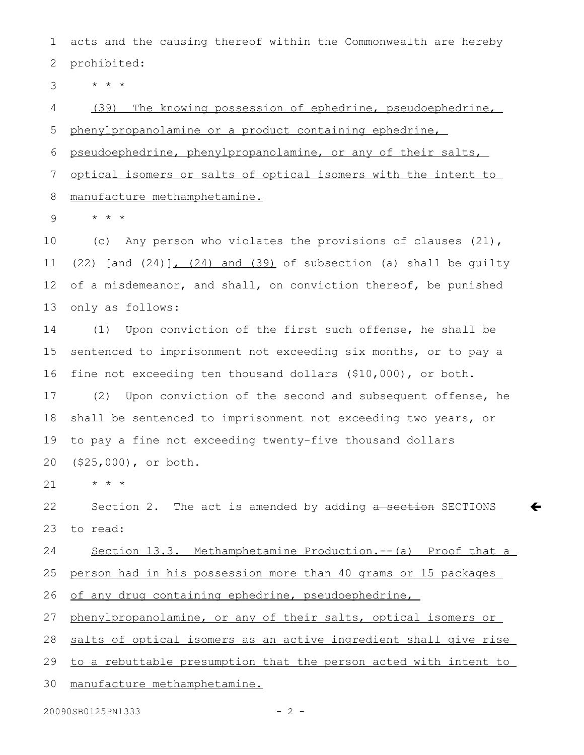acts and the causing thereof within the Commonwealth are hereby prohibited: 1 2

\* \* \* 3

(39) The knowing possession of ephedrine, pseudoephedrine, phenylpropanolamine or a product containing ephedrine, 4 5

pseudoephedrine, phenylpropanolamine, or any of their salts, 6

optical isomers or salts of optical isomers with the intent to 7

manufacture methamphetamine. 8

\* \* \* 9

(c) Any person who violates the provisions of clauses (21),  $(22)$  [and  $(24)$ ],  $(24)$  and  $(39)$  of subsection (a) shall be quilty of a misdemeanor, and shall, on conviction thereof, be punished only as follows: 10 11 12 13

(1) Upon conviction of the first such offense, he shall be sentenced to imprisonment not exceeding six months, or to pay a fine not exceeding ten thousand dollars (\$10,000), or both. 14 15 16

(2) Upon conviction of the second and subsequent offense, he shall be sentenced to imprisonment not exceeding two years, or to pay a fine not exceeding twenty-five thousand dollars (\$25,000), or both. 17 18 19 20

\* \* \* 21

Section 2. The act is amended by adding a section SECTIONS to read: 22 23

 $\leftarrow$ 

Section 13.3. Methamphetamine Production.--(a) Proof that a 24

person had in his possession more than 40 grams or 15 packages 25

of any drug containing ephedrine, pseudoephedrine, 26

phenylpropanolamine, or any of their salts, optical isomers or 27

salts of optical isomers as an active ingredient shall give rise 28

to a rebuttable presumption that the person acted with intent to 29

manufacture methamphetamine. 30

20090SB0125PN1333 - 2 -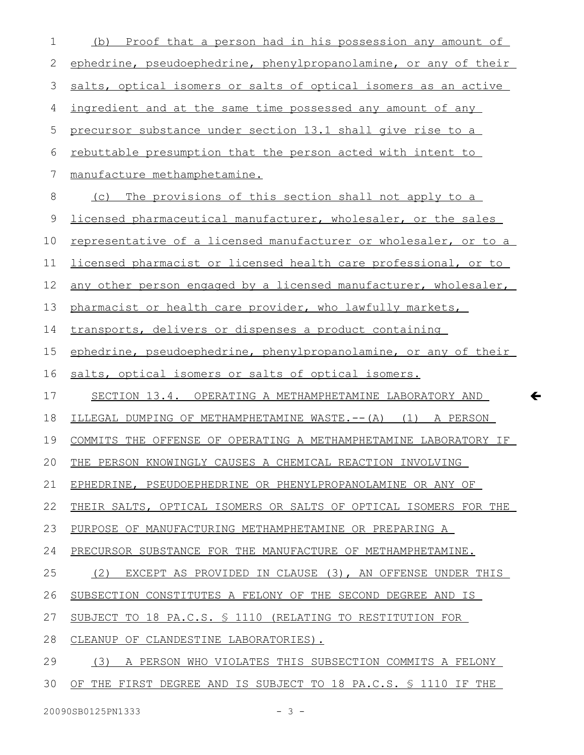| 1        | (b) Proof that a person had in his possession any amount of            |
|----------|------------------------------------------------------------------------|
| 2        | ephedrine, pseudoephedrine, phenylpropanolamine, or any of their       |
| 3        | salts, optical isomers or salts of optical isomers as an active        |
| 4        | ingredient and at the same time possessed any amount of any            |
| 5        | precursor substance under section 13.1 shall give rise to a            |
| 6        | rebuttable presumption that the person acted with intent to            |
| 7        | manufacture methamphetamine.                                           |
| 8        | (c) The provisions of this section shall not apply to a                |
| 9        | licensed pharmaceutical manufacturer, wholesaler, or the sales         |
| 10       | representative of a licensed manufacturer or wholesaler, or to a       |
| 11       | <u>licensed pharmacist or licensed health care professional, or to</u> |
| 12       | any other person engaged by a licensed manufacturer, wholesaler,       |
| 13       | pharmacist or health care provider, who lawfully markets,              |
| 14       | transports, delivers or dispenses a product containing                 |
| 15       | ephedrine, pseudoephedrine, phenylpropanolamine, or any of their       |
| 16       | salts, optical isomers or salts of optical isomers.                    |
| 17       | SECTION 13.4. OPERATING A METHAMPHETAMINE LABORATORY AND               |
|          |                                                                        |
| 18       | ILLEGAL DUMPING OF METHAMPHETAMINE WASTE.-- (A) (1) A PERSON           |
| 19       | COMMITS THE OFFENSE OF OPERATING A METHAMPHETAMINE LABORATORY IF       |
|          | THE PERSON KNOWINGLY CAUSES A CHEMICAL REACTION INVOLVING              |
| 21       | EPHEDRINE, PSEUDOEPHEDRINE OR PHENYLPROPANOLAMINE OR ANY OF            |
| 22       | THEIR SALTS, OPTICAL ISOMERS OR SALTS OF OPTICAL ISOMERS FOR THE       |
| 23       | PURPOSE OF MANUFACTURING METHAMPHETAMINE OR PREPARING A                |
| 24       | PRECURSOR SUBSTANCE FOR THE MANUFACTURE OF METHAMPHETAMINE.            |
| 25       | (2) EXCEPT AS PROVIDED IN CLAUSE (3), AN OFFENSE UNDER THIS            |
| 20<br>26 | SUBSECTION CONSTITUTES A FELONY OF THE SECOND DEGREE AND IS            |
| 27       | SUBJECT TO 18 PA.C.S. § 1110 (RELATING TO RESTITUTION FOR              |
| 28       | CLEANUP OF CLANDESTINE LABORATORIES).                                  |
| 29       | (3) A PERSON WHO VIOLATES THIS SUBSECTION COMMITS A FELONY             |

 $\leftarrow$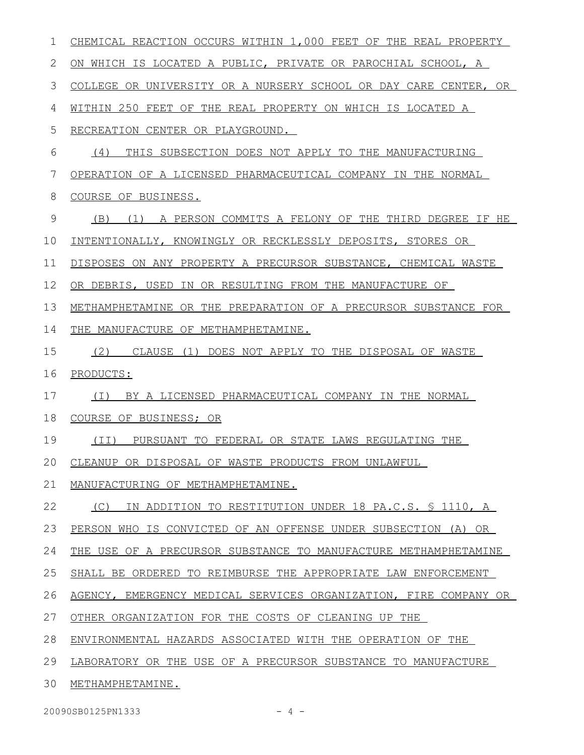| 1  | CHEMICAL REACTION OCCURS WITHIN 1,000 FEET OF THE REAL PROPERTY   |
|----|-------------------------------------------------------------------|
| 2  | ON WHICH IS LOCATED A PUBLIC, PRIVATE OR PAROCHIAL SCHOOL, A      |
| 3  | COLLEGE OR UNIVERSITY OR A NURSERY SCHOOL OR DAY CARE CENTER, OR  |
| 4  | WITHIN 250 FEET OF THE REAL PROPERTY ON WHICH IS LOCATED A        |
| 5  | RECREATION CENTER OR PLAYGROUND.                                  |
| 6  | (4)<br>THIS SUBSECTION DOES NOT APPLY TO THE MANUFACTURING        |
| 7  | OPERATION OF A LICENSED PHARMACEUTICAL COMPANY IN THE NORMAL      |
| 8  | COURSE OF BUSINESS.                                               |
| 9  | A PERSON COMMITS A FELONY OF THE THIRD DEGREE IF HE<br>(B)<br>(1) |
| 10 | INTENTIONALLY, KNOWINGLY OR RECKLESSLY DEPOSITS, STORES OR        |
| 11 | DISPOSES ON ANY PROPERTY A PRECURSOR SUBSTANCE, CHEMICAL WASTE    |
| 12 | OR DEBRIS, USED IN OR RESULTING FROM THE MANUFACTURE OF           |
| 13 | METHAMPHETAMINE OR THE PREPARATION OF A PRECURSOR SUBSTANCE FOR   |
| 14 | THE MANUFACTURE OF METHAMPHETAMINE.                               |
| 15 | (2) CLAUSE (1) DOES NOT APPLY TO THE DISPOSAL OF WASTE            |
| 16 | PRODUCTS:                                                         |
| 17 | BY A LICENSED PHARMACEUTICAL COMPANY IN THE NORMAL<br>( I )       |
| 18 | COURSE OF BUSINESS; OR                                            |
| 19 | (II) PURSUANT TO FEDERAL OR STATE LAWS REGULATING THE             |
|    | 20 CLEANUP OR DISPOSAL OF WASTE PRODUCTS FROM UNLAWFUL            |
| 21 | MANUFACTURING OF METHAMPHETAMINE.                                 |
| 22 | IN ADDITION TO RESTITUTION UNDER 18 PA.C.S. \$ 1110, A<br>(C)     |
| 23 | PERSON WHO IS CONVICTED OF AN OFFENSE UNDER SUBSECTION (A) OR     |
| 24 | THE USE OF A PRECURSOR SUBSTANCE TO MANUFACTURE METHAMPHETAMINE   |
| 25 | SHALL BE ORDERED TO REIMBURSE THE APPROPRIATE LAW ENFORCEMENT     |
| 26 | AGENCY, EMERGENCY MEDICAL SERVICES ORGANIZATION, FIRE COMPANY OR  |
| 27 | OTHER ORGANIZATION FOR THE COSTS OF CLEANING UP THE               |
| 28 | ENVIRONMENTAL HAZARDS ASSOCIATED WITH THE OPERATION OF THE        |
| 29 | LABORATORY OR THE USE OF A PRECURSOR SUBSTANCE TO MANUFACTURE     |
| 30 | METHAMPHETAMINE.                                                  |